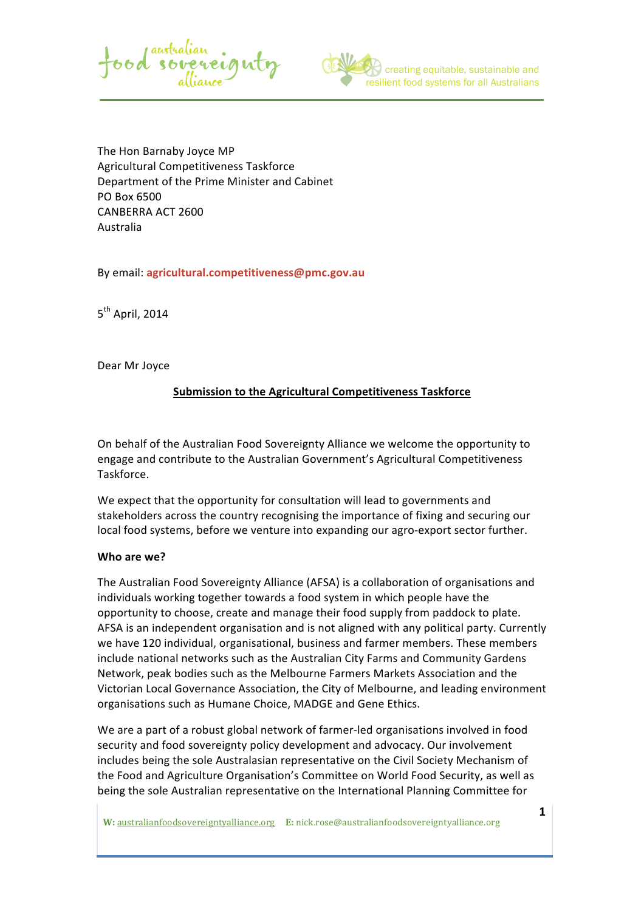



The Hon Barnaby Joyce MP Agricultural Competitiveness Taskforce Department of the Prime Minister and Cabinet PO Box 6500 CANBERRA ACT 2600 Australia

By email: **agricultural.competitiveness@pmc.gov.au**

 $5<sup>th</sup>$  April, 2014

Dear Mr Joyce

## **Submission to the Agricultural Competitiveness Taskforce**

On behalf of the Australian Food Sovereignty Alliance we welcome the opportunity to engage and contribute to the Australian Government's Agricultural Competitiveness Taskforce. 

We expect that the opportunity for consultation will lead to governments and stakeholders across the country recognising the importance of fixing and securing our local food systems, before we venture into expanding our agro-export sector further.

#### Who are we?

The Australian Food Sovereignty Alliance (AFSA) is a collaboration of organisations and individuals working together towards a food system in which people have the opportunity to choose, create and manage their food supply from paddock to plate. AFSA is an independent organisation and is not aligned with any political party. Currently we have 120 individual, organisational, business and farmer members. These members include national networks such as the Australian City Farms and Community Gardens Network, peak bodies such as the Melbourne Farmers Markets Association and the Victorian Local Governance Association, the City of Melbourne, and leading environment organisations such as Humane Choice, MADGE and Gene Ethics.

We are a part of a robust global network of farmer-led organisations involved in food security and food sovereignty policy development and advocacy. Our involvement includes being the sole Australasian representative on the Civil Society Mechanism of the Food and Agriculture Organisation's Committee on World Food Security, as well as being the sole Australian representative on the International Planning Committee for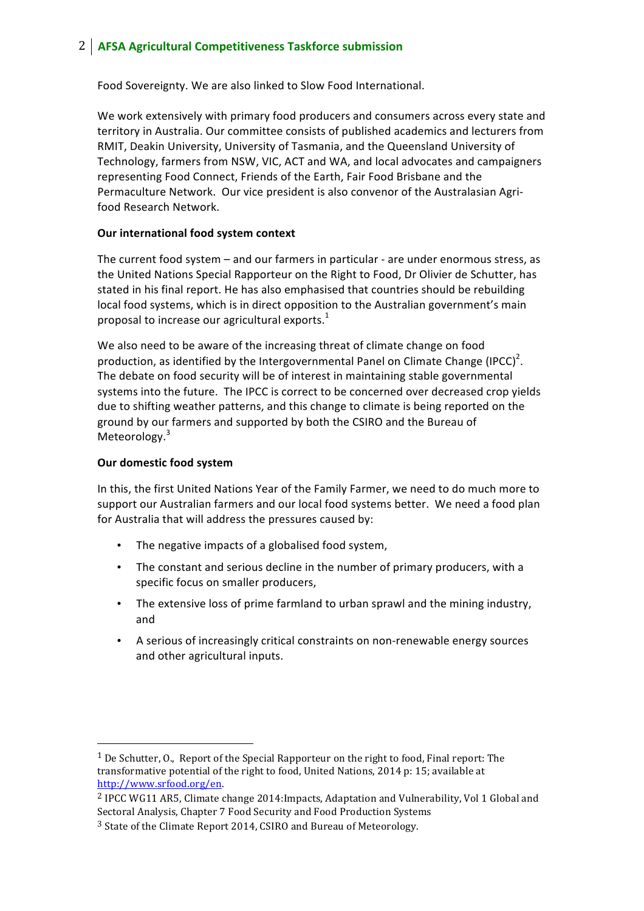# 2 **AFSA Agricultural Competitiveness Taskforce submission**

Food Sovereignty. We are also linked to Slow Food International.

We work extensively with primary food producers and consumers across every state and territory in Australia. Our committee consists of published academics and lecturers from RMIT, Deakin University, University of Tasmania, and the Queensland University of Technology, farmers from NSW, VIC, ACT and WA, and local advocates and campaigners representing Food Connect, Friends of the Earth, Fair Food Brisbane and the Permaculture Network. Our vice president is also convenor of the Australasian Agrifood Research Network.

### **Our international food system context**

The current food system  $-$  and our farmers in particular - are under enormous stress, as the United Nations Special Rapporteur on the Right to Food, Dr Olivier de Schutter, has stated in his final report. He has also emphasised that countries should be rebuilding local food systems, which is in direct opposition to the Australian government's main proposal to increase our agricultural exports.<sup>1</sup>

We also need to be aware of the increasing threat of climate change on food production, as identified by the Intergovernmental Panel on Climate Change (IPCC)<sup>2</sup>. The debate on food security will be of interest in maintaining stable governmental systems into the future. The IPCC is correct to be concerned over decreased crop yields due to shifting weather patterns, and this change to climate is being reported on the ground by our farmers and supported by both the CSIRO and the Bureau of Meteorology.<sup>3</sup>

### **Our domestic food system**

 

In this, the first United Nations Year of the Family Farmer, we need to do much more to support our Australian farmers and our local food systems better. We need a food plan for Australia that will address the pressures caused by:

- The negative impacts of a globalised food system,
- The constant and serious decline in the number of primary producers, with a specific focus on smaller producers,
- The extensive loss of prime farmland to urban sprawl and the mining industry, and
- A serious of increasingly critical constraints on non-renewable energy sources and other agricultural inputs.

 $1$  De Schutter, O., Report of the Special Rapporteur on the right to food, Final report: The transformative potential of the right to food, United Nations, 2014 p: 15; available at http://www.srfood.org/en. 

<sup>&</sup>lt;sup>2</sup> IPCC WG11 AR5, Climate change 2014: Impacts, Adaptation and Vulnerability, Vol 1 Global and Sectoral Analysis, Chapter 7 Food Security and Food Production Systems

 $3$  State of the Climate Report 2014, CSIRO and Bureau of Meteorology.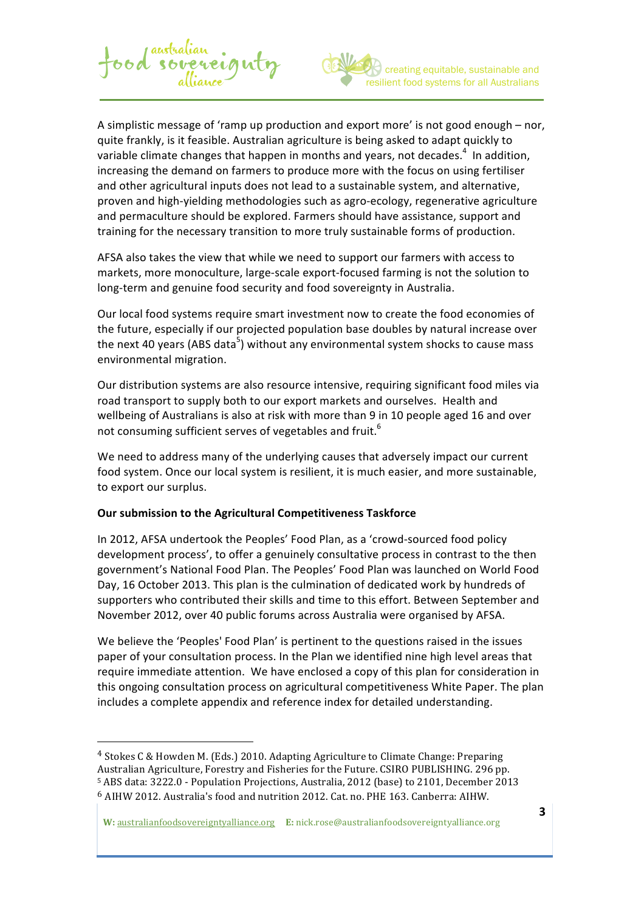

A simplistic message of 'ramp up production and export more' is not good enough – nor, quite frankly, is it feasible. Australian agriculture is being asked to adapt quickly to variable climate changes that happen in months and years, not decades.<sup>4</sup> In addition, increasing the demand on farmers to produce more with the focus on using fertiliser and other agricultural inputs does not lead to a sustainable system, and alternative, proven and high-yielding methodologies such as agro-ecology, regenerative agriculture and permaculture should be explored. Farmers should have assistance, support and training for the necessary transition to more truly sustainable forms of production.

food sovereignty

AFSA also takes the view that while we need to support our farmers with access to markets, more monoculture, large-scale export-focused farming is not the solution to long-term and genuine food security and food sovereignty in Australia.

Our local food systems require smart investment now to create the food economies of the future, especially if our projected population base doubles by natural increase over the next 40 years (ABS data<sup>5</sup>) without any environmental system shocks to cause mass environmental migration.

Our distribution systems are also resource intensive, requiring significant food miles via road transport to supply both to our export markets and ourselves. Health and wellbeing of Australians is also at risk with more than 9 in 10 people aged 16 and over not consuming sufficient serves of vegetables and fruit.<sup>6</sup>

We need to address many of the underlying causes that adversely impact our current food system. Once our local system is resilient, it is much easier, and more sustainable, to export our surplus.

#### **Our submission to the Agricultural Competitiveness Taskforce**

 

In 2012, AFSA undertook the Peoples' Food Plan, as a 'crowd-sourced food policy development process', to offer a genuinely consultative process in contrast to the then government's National Food Plan. The Peoples' Food Plan was launched on World Food Day, 16 October 2013. This plan is the culmination of dedicated work by hundreds of supporters who contributed their skills and time to this effort. Between September and November 2012, over 40 public forums across Australia were organised by AFSA.

We believe the 'Peoples' Food Plan' is pertinent to the questions raised in the issues paper of your consultation process. In the Plan we identified nine high level areas that require immediate attention. We have enclosed a copy of this plan for consideration in this ongoing consultation process on agricultural competitiveness White Paper. The plan includes a complete appendix and reference index for detailed understanding.

<sup>&</sup>lt;sup>4</sup> Stokes C & Howden M. (Eds.) 2010. Adapting Agriculture to Climate Change: Preparing Australian Agriculture, Forestry and Fisheries for the Future. CSIRO PUBLISHING. 296 pp. 5 ABS data: 3222.0 - Population Projections, Australia, 2012 (base) to 2101, December 2013  $6$  AIHW 2012. Australia's food and nutrition 2012. Cat. no. PHE 163. Canberra: AIHW.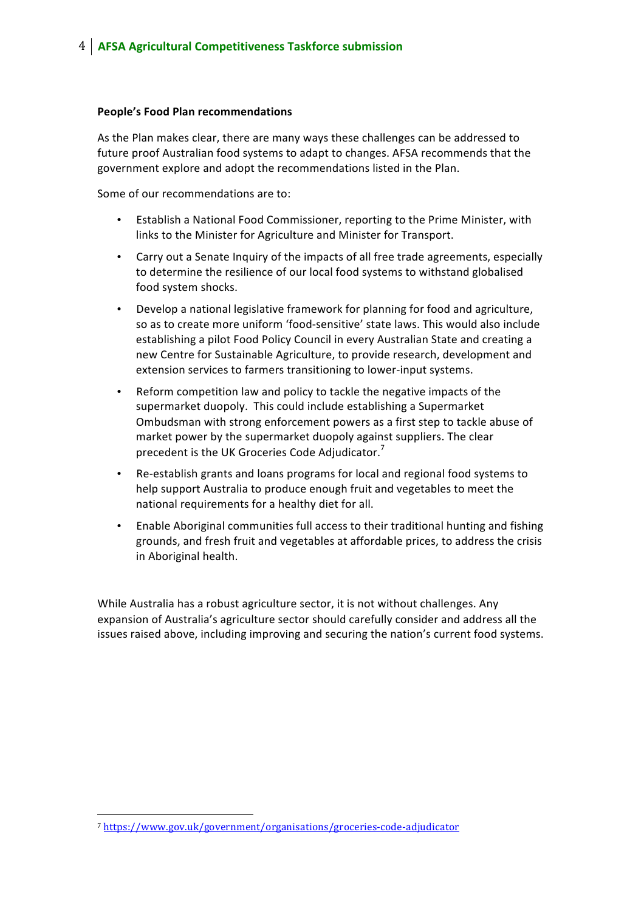#### **People's Food Plan recommendations**

As the Plan makes clear, there are many ways these challenges can be addressed to future proof Australian food systems to adapt to changes. AFSA recommends that the government explore and adopt the recommendations listed in the Plan.

Some of our recommendations are to:

- Establish a National Food Commissioner, reporting to the Prime Minister, with links to the Minister for Agriculture and Minister for Transport.
- Carry out a Senate Inquiry of the impacts of all free trade agreements, especially to determine the resilience of our local food systems to withstand globalised food system shocks.
- Develop a national legislative framework for planning for food and agriculture, so as to create more uniform 'food-sensitive' state laws. This would also include establishing a pilot Food Policy Council in every Australian State and creating a new Centre for Sustainable Agriculture, to provide research, development and extension services to farmers transitioning to lower-input systems.
- Reform competition law and policy to tackle the negative impacts of the supermarket duopoly. This could include establishing a Supermarket Ombudsman with strong enforcement powers as a first step to tackle abuse of market power by the supermarket duopoly against suppliers. The clear precedent is the UK Groceries Code Adjudicator.
- Re-establish grants and loans programs for local and regional food systems to help support Australia to produce enough fruit and vegetables to meet the national requirements for a healthy diet for all.
- Enable Aboriginal communities full access to their traditional hunting and fishing grounds, and fresh fruit and vegetables at affordable prices, to address the crisis in Aboriginal health.

While Australia has a robust agriculture sector, it is not without challenges. Any expansion of Australia's agriculture sector should carefully consider and address all the issues raised above, including improving and securing the nation's current food systems.

 

<sup>7</sup> https://www.gov.uk/government/organisations/groceries-code-adjudicator